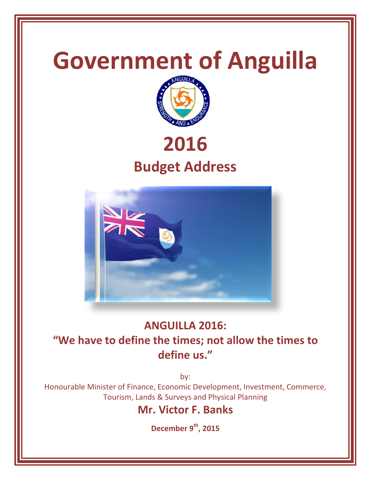

# **ANGUILLA 2016:**

## **"We have to define the times; not allow the times to define us."**

by:

Honourable Minister of Finance, Economic Development, Investment, Commerce, Tourism, Lands & Surveys and Physical Planning

## **Mr. Victor F. Banks**

**December 9 th, 2015**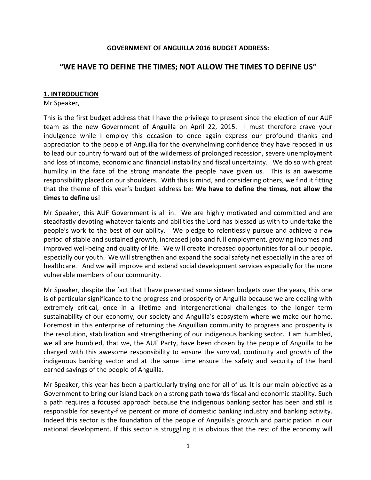#### **GOVERNMENT OF ANGUILLA 2016 BUDGET ADDRESS:**

## **"WE HAVE TO DEFINE THE TIMES; NOT ALLOW THE TIMES TO DEFINE US"**

#### **1. INTRODUCTION**

Mr Speaker,

This is the first budget address that I have the privilege to present since the election of our AUF team as the new Government of Anguilla on April 22, 2015. I must therefore crave your indulgence while I employ this occasion to once again express our profound thanks and appreciation to the people of Anguilla for the overwhelming confidence they have reposed in us to lead our country forward out of the wilderness of prolonged recession, severe unemployment and loss of income, economic and financial instability and fiscal uncertainty. We do so with great humility in the face of the strong mandate the people have given us. This is an awesome responsibility placed on our shoulders. With this is mind, and considering others, we find it fitting that the theme of this year's budget address be: **We have to define the times, not allow the times to define us**!

Mr Speaker, this AUF Government is all in. We are highly motivated and committed and are steadfastly devoting whatever talents and abilities the Lord has blessed us with to undertake the people's work to the best of our ability. We pledge to relentlessly pursue and achieve a new period of stable and sustained growth, increased jobs and full employment, growing incomes and improved well-being and quality of life. We will create increased opportunities for all our people, especially our youth. We will strengthen and expand the social safety net especially in the area of healthcare. And we will improve and extend social development services especially for the more vulnerable members of our community.

Mr Speaker, despite the fact that I have presented some sixteen budgets over the years, this one is of particular significance to the progress and prosperity of Anguilla because we are dealing with extremely critical, once in a lifetime and intergenerational challenges to the longer term sustainability of our economy, our society and Anguilla's ecosystem where we make our home. Foremost in this enterprise of returning the Anguillian community to progress and prosperity is the resolution, stabilization and strengthening of our indigenous banking sector. I am humbled, we all are humbled, that we, the AUF Party, have been chosen by the people of Anguilla to be charged with this awesome responsibility to ensure the survival, continuity and growth of the indigenous banking sector and at the same time ensure the safety and security of the hard earned savings of the people of Anguilla.

Mr Speaker, this year has been a particularly trying one for all of us. It is our main objective as a Government to bring our island back on a strong path towards fiscal and economic stability. Such a path requires a focused approach because the indigenous banking sector has been and still is responsible for seventy-five percent or more of domestic banking industry and banking activity. Indeed this sector is the foundation of the people of Anguilla's growth and participation in our national development. If this sector is struggling it is obvious that the rest of the economy will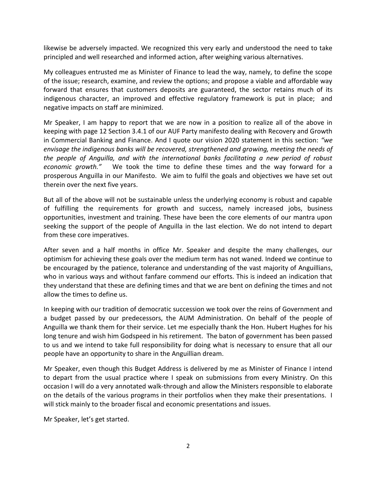likewise be adversely impacted. We recognized this very early and understood the need to take principled and well researched and informed action, after weighing various alternatives.

My colleagues entrusted me as Minister of Finance to lead the way, namely, to define the scope of the issue; research, examine, and review the options; and propose a viable and affordable way forward that ensures that customers deposits are guaranteed, the sector retains much of its indigenous character, an improved and effective regulatory framework is put in place; and negative impacts on staff are minimized.

Mr Speaker, I am happy to report that we are now in a position to realize all of the above in keeping with page 12 Section 3.4.1 of our AUF Party manifesto dealing with Recovery and Growth in Commercial Banking and Finance. And I quote our vision 2020 statement in this section: *"we envisage the indigenous banks will be recovered, strengthened and growing, meeting the needs of the people of Anguilla, and with the international banks facilitating a new period of robust economic growth."* We took the time to define these times and the way forward for a prosperous Anguilla in our Manifesto. We aim to fulfil the goals and objectives we have set out therein over the next five years.

But all of the above will not be sustainable unless the underlying economy is robust and capable of fulfilling the requirements for growth and success, namely increased jobs, business opportunities, investment and training. These have been the core elements of our mantra upon seeking the support of the people of Anguilla in the last election. We do not intend to depart from these core imperatives.

After seven and a half months in office Mr. Speaker and despite the many challenges, our optimism for achieving these goals over the medium term has not waned. Indeed we continue to be encouraged by the patience, tolerance and understanding of the vast majority of Anguillians, who in various ways and without fanfare commend our efforts. This is indeed an indication that they understand that these are defining times and that we are bent on defining the times and not allow the times to define us.

In keeping with our tradition of democratic succession we took over the reins of Government and a budget passed by our predecessors, the AUM Administration. On behalf of the people of Anguilla we thank them for their service. Let me especially thank the Hon. Hubert Hughes for his long tenure and wish him Godspeed in his retirement. The baton of government has been passed to us and we intend to take full responsibility for doing what is necessary to ensure that all our people have an opportunity to share in the Anguillian dream.

Mr Speaker, even though this Budget Address is delivered by me as Minister of Finance I intend to depart from the usual practice where I speak on submissions from every Ministry. On this occasion I will do a very annotated walk-through and allow the Ministers responsible to elaborate on the details of the various programs in their portfolios when they make their presentations. I will stick mainly to the broader fiscal and economic presentations and issues.

Mr Speaker, let's get started.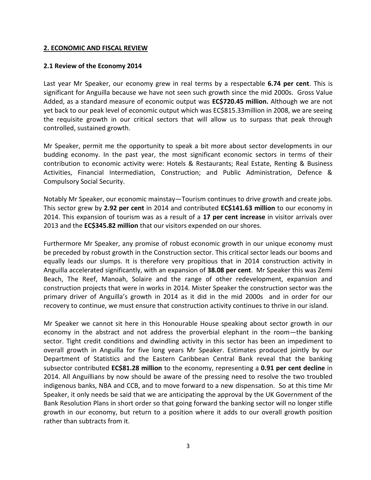#### **2. ECONOMIC AND FISCAL REVIEW**

#### **2.1 Review of the Economy 2014**

Last year Mr Speaker, our economy grew in real terms by a respectable **6.74 per cent**. This is significant for Anguilla because we have not seen such growth since the mid 2000s. Gross Value Added, as a standard measure of economic output was **EC\$720.45 million.** Although we are not yet back to our peak level of economic output which was EC\$815.33million in 2008, we are seeing the requisite growth in our critical sectors that will allow us to surpass that peak through controlled, sustained growth.

Mr Speaker, permit me the opportunity to speak a bit more about sector developments in our budding economy. In the past year, the most significant economic sectors in terms of their contribution to economic activity were: Hotels & Restaurants; Real Estate, Renting & Business Activities, Financial Intermediation, Construction; and Public Administration, Defence & Compulsory Social Security.

Notably Mr Speaker, our economic mainstay—Tourism continues to drive growth and create jobs. This sector grew by **2.92 per cent** in 2014 and contributed **EC\$141.63 million** to our economy in 2014. This expansion of tourism was as a result of a **17 per cent increase** in visitor arrivals over 2013 and the **EC\$345.82 million** that our visitors expended on our shores.

Furthermore Mr Speaker, any promise of robust economic growth in our unique economy must be preceded by robust growth in the Construction sector. This critical sector leads our booms and equally leads our slumps. It is therefore very propitious that in 2014 construction activity in Anguilla accelerated significantly, with an expansion of **38.08 per cent**. Mr Speaker this was Zemi Beach, The Reef, Manoah, Solaire and the range of other redevelopment, expansion and construction projects that were in works in 2014. Mister Speaker the construction sector was the primary driver of Anguilla's growth in 2014 as it did in the mid 2000s and in order for our recovery to continue, we must ensure that construction activity continues to thrive in our island.

Mr Speaker we cannot sit here in this Honourable House speaking about sector growth in our economy in the abstract and not address the proverbial elephant in the room—the banking sector. Tight credit conditions and dwindling activity in this sector has been an impediment to overall growth in Anguilla for five long years Mr Speaker. Estimates produced jointly by our Department of Statistics and the Eastern Caribbean Central Bank reveal that the banking subsector contributed **EC\$81.28 million** to the economy, representing a **0.91 per cent decline** in 2014. All Anguillians by now should be aware of the pressing need to resolve the two troubled indigenous banks, NBA and CCB, and to move forward to a new dispensation. So at this time Mr Speaker, it only needs be said that we are anticipating the approval by the UK Government of the Bank Resolution Plans in short order so that going forward the banking sector will no longer stifle growth in our economy, but return to a position where it adds to our overall growth position rather than subtracts from it.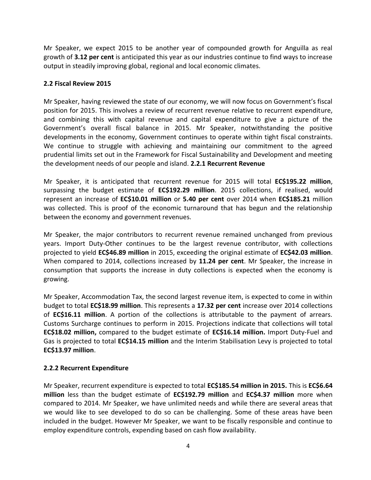Mr Speaker, we expect 2015 to be another year of compounded growth for Anguilla as real growth of **3.12 per cent** is anticipated this year as our industries continue to find ways to increase output in steadily improving global, regional and local economic climates.

## **2.2 Fiscal Review 2015**

Mr Speaker, having reviewed the state of our economy, we will now focus on Government's fiscal position for 2015. This involves a review of recurrent revenue relative to recurrent expenditure, and combining this with capital revenue and capital expenditure to give a picture of the Government's overall fiscal balance in 2015. Mr Speaker, notwithstanding the positive developments in the economy, Government continues to operate within tight fiscal constraints. We continue to struggle with achieving and maintaining our commitment to the agreed prudential limits set out in the Framework for Fiscal Sustainability and Development and meeting the development needs of our people and island. **2.2.1 Recurrent Revenue**

Mr Speaker, it is anticipated that recurrent revenue for 2015 will total **EC\$195.22 million**, surpassing the budget estimate of **EC\$192.29 million**. 2015 collections, if realised, would represent an increase of **EC\$10.01 million** or **5.40 per cent** over 2014 when **EC\$185.21** million was collected. This is proof of the economic turnaround that has begun and the relationship between the economy and government revenues.

Mr Speaker, the major contributors to recurrent revenue remained unchanged from previous years. Import Duty-Other continues to be the largest revenue contributor, with collections projected to yield **EC\$46.89 million** in 2015, exceeding the original estimate of **EC\$42.03 million**. When compared to 2014, collections increased by **11.24 per cent**. Mr Speaker, the increase in consumption that supports the increase in duty collections is expected when the economy is growing.

Mr Speaker, Accommodation Tax, the second largest revenue item, is expected to come in within budget to total **EC\$18.99 million**. This represents a **17.32 per cent** increase over 2014 collections of **EC\$16.11 million**. A portion of the collections is attributable to the payment of arrears. Customs Surcharge continues to perform in 2015. Projections indicate that collections will total **EC\$18.02 million,** compared to the budget estimate of **EC\$16.14 million.** Import Duty-Fuel and Gas is projected to total **EC\$14.15 million** and the Interim Stabilisation Levy is projected to total **EC\$13.97 million**.

## **2.2.2 Recurrent Expenditure**

Mr Speaker, recurrent expenditure is expected to total **EC\$185.54 million in 2015.** This is **EC\$6.64 million** less than the budget estimate of **EC\$192.79 million** and **EC\$4.37 million** more when compared to 2014. Mr Speaker, we have unlimited needs and while there are several areas that we would like to see developed to do so can be challenging. Some of these areas have been included in the budget. However Mr Speaker, we want to be fiscally responsible and continue to employ expenditure controls, expending based on cash flow availability.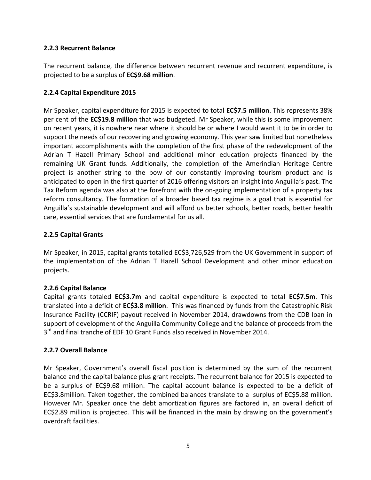## **2.2.3 Recurrent Balance**

The recurrent balance, the difference between recurrent revenue and recurrent expenditure, is projected to be a surplus of **EC\$9.68 million**.

## **2.2.4 Capital Expenditure 2015**

Mr Speaker, capital expenditure for 2015 is expected to total **EC\$7.5 million**. This represents 38% per cent of the **EC\$19.8 million** that was budgeted. Mr Speaker, while this is some improvement on recent years, it is nowhere near where it should be or where I would want it to be in order to support the needs of our recovering and growing economy. This year saw limited but nonetheless important accomplishments with the completion of the first phase of the redevelopment of the Adrian T Hazell Primary School and additional minor education projects financed by the remaining UK Grant funds. Additionally, the completion of the Amerindian Heritage Centre project is another string to the bow of our constantly improving tourism product and is anticipated to open in the first quarter of 2016 offering visitors an insight into Anguilla's past. The Tax Reform agenda was also at the forefront with the on-going implementation of a property tax reform consultancy. The formation of a broader based tax regime is a goal that is essential for Anguilla's sustainable development and will afford us better schools, better roads, better health care, essential services that are fundamental for us all.

## **2.2.5 Capital Grants**

Mr Speaker, in 2015, capital grants totalled EC\$3,726,529 from the UK Government in support of the implementation of the Adrian T Hazell School Development and other minor education projects.

## **2.2.6 Capital Balance**

Capital grants totaled **EC\$3.7m** and capital expenditure is expected to total **EC\$7.5m**. This translated into a deficit of **EC\$3.8 million**. This was financed by funds from the Catastrophic Risk Insurance Facility (CCRIF) payout received in November 2014, drawdowns from the CDB loan in support of development of the Anguilla Community College and the balance of proceeds from the 3<sup>rd</sup> and final tranche of EDF 10 Grant Funds also received in November 2014.

#### **2.2.7 Overall Balance**

Mr Speaker, Government's overall fiscal position is determined by the sum of the recurrent balance and the capital balance plus grant receipts. The recurrent balance for 2015 is expected to be a surplus of EC\$9.68 million. The capital account balance is expected to be a deficit of EC\$3.8million. Taken together, the combined balances translate to a surplus of EC\$5.88 million. However Mr. Speaker once the debt amortization figures are factored in, an overall deficit of EC\$2.89 million is projected. This will be financed in the main by drawing on the government's overdraft facilities.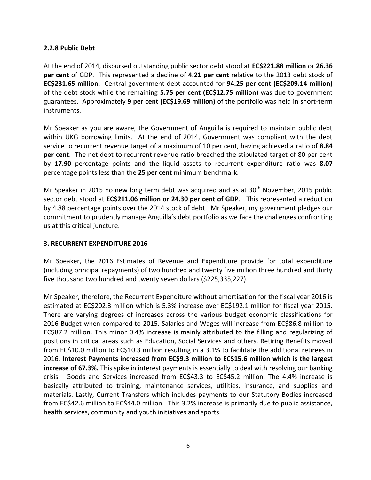#### **2.2.8 Public Debt**

At the end of 2014, disbursed outstanding public sector debt stood at **EC\$221.88 million** or **26.36 per cent** of GDP. This represented a decline of **4.21 per cent** relative to the 2013 debt stock of **EC\$231.65 million**. Central government debt accounted for **94.25 per cent (EC\$209.14 million)** of the debt stock while the remaining **5.75 per cent (EC\$12.75 million)** was due to government guarantees. Approximately **9 per cent (EC\$19.69 million)** of the portfolio was held in short-term instruments.

Mr Speaker as you are aware, the Government of Anguilla is required to maintain public debt within UKG borrowing limits. At the end of 2014, Government was compliant with the debt service to recurrent revenue target of a maximum of 10 per cent, having achieved a ratio of **8.84 per cent**. The net debt to recurrent revenue ratio breached the stipulated target of 80 per cent by **17.90** percentage points and the liquid assets to recurrent expenditure ratio was **8.07** percentage points less than the **25 per cent** minimum benchmark.

Mr Speaker in 2015 no new long term debt was acquired and as at  $30<sup>th</sup>$  November, 2015 public sector debt stood at **EC\$211.06 million or 24.30 per cent of GDP**. This represented a reduction by 4.88 percentage points over the 2014 stock of debt. Mr Speaker, my government pledges our commitment to prudently manage Anguilla's debt portfolio as we face the challenges confronting us at this critical juncture.

#### **3. RECURRENT EXPENDITURE 2016**

Mr Speaker, the 2016 Estimates of Revenue and Expenditure provide for total expenditure (including principal repayments) of two hundred and twenty five million three hundred and thirty five thousand two hundred and twenty seven dollars (\$225,335,227).

Mr Speaker, therefore, the Recurrent Expenditure without amortisation for the fiscal year 2016 is estimated at EC\$202.3 million which is 5.3% increase over EC\$192.1 million for fiscal year 2015. There are varying degrees of increases across the various budget economic classifications for 2016 Budget when compared to 2015. Salaries and Wages will increase from EC\$86.8 million to EC\$87.2 million. This minor 0.4% increase is mainly attributed to the filling and regularizing of positions in critical areas such as Education, Social Services and others. Retiring Benefits moved from EC\$10.0 million to EC\$10.3 million resulting in a 3.1% to facilitate the additional retirees in 2016. **Interest Payments increased from EC\$9.3 million to EC\$15.6 million which is the largest increase of 67.3%.** This spike in interest payments is essentially to deal with resolving our banking crisis. Goods and Services increased from EC\$43.3 to EC\$45.2 million. The 4.4% increase is basically attributed to training, maintenance services, utilities, insurance, and supplies and materials. Lastly, Current Transfers which includes payments to our Statutory Bodies increased from EC\$42.6 million to EC\$44.0 million. This 3.2% increase is primarily due to public assistance, health services, community and youth initiatives and sports.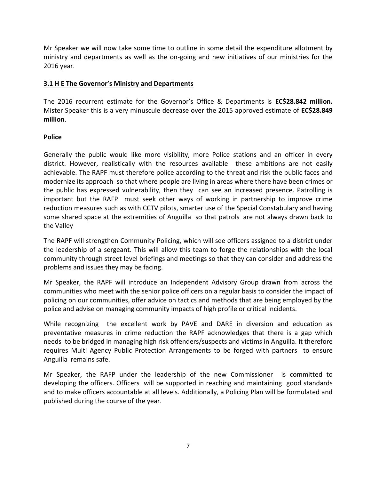Mr Speaker we will now take some time to outline in some detail the expenditure allotment by ministry and departments as well as the on-going and new initiatives of our ministries for the 2016 year.

## **3.1 H E The Governor's Ministry and Departments**

The 2016 recurrent estimate for the Governor's Office & Departments is **EC\$28.842 million.**  Mister Speaker this is a very minuscule decrease over the 2015 approved estimate of **EC\$28.849 million**.

#### **Police**

Generally the public would like more visibility, more Police stations and an officer in every district. However, realistically with the resources available these ambitions are not easily achievable. The RAPF must therefore police according to the threat and risk the public faces and modernize its approach so that where people are living in areas where there have been crimes or the public has expressed vulnerability, then they can see an increased presence. Patrolling is important but the RAFP must seek other ways of working in partnership to improve crime reduction measures such as with CCTV pilots, smarter use of the Special Constabulary and having some shared space at the extremities of Anguilla so that patrols are not always drawn back to the Valley

The RAPF will strengthen Community Policing, which will see officers assigned to a district under the leadership of a sergeant. This will allow this team to forge the relationships with the local community through street level briefings and meetings so that they can consider and address the problems and issues they may be facing.

Mr Speaker, the RAPF will introduce an Independent Advisory Group drawn from across the communities who meet with the senior police officers on a regular basis to consider the impact of policing on our communities, offer advice on tactics and methods that are being employed by the police and advise on managing community impacts of high profile or critical incidents.

While recognizing the excellent work by PAVE and DARE in diversion and education as preventative measures in crime reduction the RAPF acknowledges that there is a gap which needs to be bridged in managing high risk offenders/suspects and victims in Anguilla. It therefore requires Multi Agency Public Protection Arrangements to be forged with partners to ensure Anguilla remains safe.

Mr Speaker, the RAFP under the leadership of the new Commissioner is committed to developing the officers. Officers will be supported in reaching and maintaining good standards and to make officers accountable at all levels. Additionally, a Policing Plan will be formulated and published during the course of the year.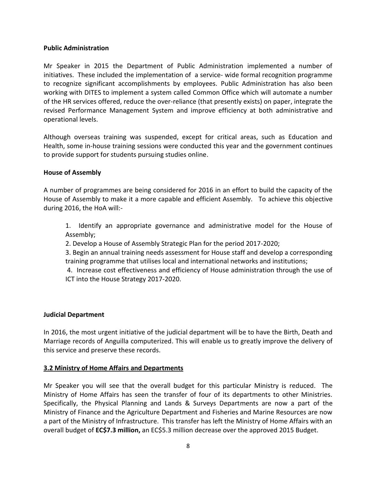#### **Public Administration**

Mr Speaker in 2015 the Department of Public Administration implemented a number of initiatives. These included the implementation of a service- wide formal recognition programme to recognize significant accomplishments by employees. Public Administration has also been working with DITES to implement a system called Common Office which will automate a number of the HR services offered, reduce the over-reliance (that presently exists) on paper, integrate the revised Performance Management System and improve efficiency at both administrative and operational levels.

Although overseas training was suspended, except for critical areas, such as Education and Health, some in-house training sessions were conducted this year and the government continues to provide support for students pursuing studies online.

#### **House of Assembly**

A number of programmes are being considered for 2016 in an effort to build the capacity of the House of Assembly to make it a more capable and efficient Assembly. To achieve this objective during 2016, the HoA will:-

1. Identify an appropriate governance and administrative model for the House of Assembly;

2. Develop a House of Assembly Strategic Plan for the period 2017-2020;

3. Begin an annual training needs assessment for House staff and develop a corresponding training programme that utilises local and international networks and institutions;

4. Increase cost effectiveness and efficiency of House administration through the use of ICT into the House Strategy 2017-2020.

#### **Judicial Department**

In 2016, the most urgent initiative of the judicial department will be to have the Birth, Death and Marriage records of Anguilla computerized. This will enable us to greatly improve the delivery of this service and preserve these records.

#### **3.2 Ministry of Home Affairs and Departments**

Mr Speaker you will see that the overall budget for this particular Ministry is reduced. The Ministry of Home Affairs has seen the transfer of four of its departments to other Ministries. Specifically, the Physical Planning and Lands & Surveys Departments are now a part of the Ministry of Finance and the Agriculture Department and Fisheries and Marine Resources are now a part of the Ministry of Infrastructure. This transfer has left the Ministry of Home Affairs with an overall budget of **EC\$7.3 million,** an EC\$5.3 million decrease over the approved 2015 Budget.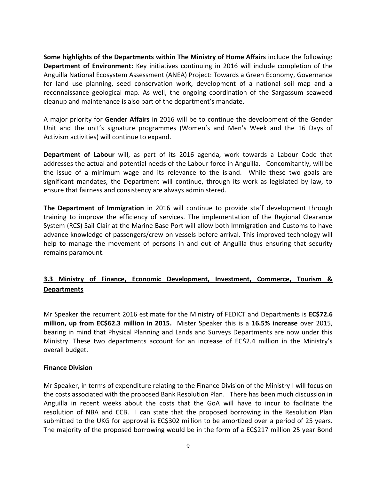**Some highlights of the Departments within The Ministry of Home Affairs** include the following: **Department of Environment:** Key initiatives continuing in 2016 will include completion of the Anguilla National Ecosystem Assessment (ANEA) Project: Towards a Green Economy, Governance for land use planning, seed conservation work, development of a national soil map and a reconnaissance geological map. As well, the ongoing coordination of the Sargassum seaweed cleanup and maintenance is also part of the department's mandate.

A major priority for **Gender Affairs** in 2016 will be to continue the development of the Gender Unit and the unit's signature programmes (Women's and Men's Week and the 16 Days of Activism activities) will continue to expand.

**Department of Labour** will, as part of its 2016 agenda, work towards a Labour Code that addresses the actual and potential needs of the Labour force in Anguilla. Concomitantly, will be the issue of a minimum wage and its relevance to the island. While these two goals are significant mandates, the Department will continue, through its work as legislated by law, to ensure that fairness and consistency are always administered.

**The Department of Immigration** in 2016 will continue to provide staff development through training to improve the efficiency of services. The implementation of the Regional Clearance System (RCS) Sail Clair at the Marine Base Port will allow both Immigration and Customs to have advance knowledge of passengers/crew on vessels before arrival. This improved technology will help to manage the movement of persons in and out of Anguilla thus ensuring that security remains paramount.

## **3.3 Ministry of Finance, Economic Development, Investment, Commerce, Tourism & Departments**

Mr Speaker the recurrent 2016 estimate for the Ministry of FEDICT and Departments is **EC\$72.6 million, up from EC\$62.3 million in 2015.** Mister Speaker this is a **16.5% increase** over 2015, bearing in mind that Physical Planning and Lands and Surveys Departments are now under this Ministry. These two departments account for an increase of EC\$2.4 million in the Ministry's overall budget.

#### **Finance Division**

Mr Speaker, in terms of expenditure relating to the Finance Division of the Ministry I will focus on the costs associated with the proposed Bank Resolution Plan.There has been much discussion in Anguilla in recent weeks about the costs that the GoA will have to incur to facilitate the resolution of NBA and CCB. I can state that the proposed borrowing in the Resolution Plan submitted to the UKG for approval is EC\$302 million to be amortized over a period of 25 years. The majority of the proposed borrowing would be in the form of a EC\$217 million 25 year Bond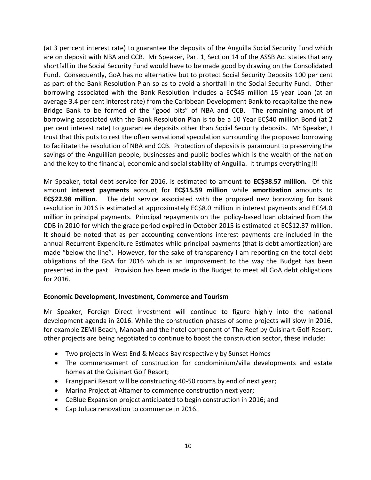(at 3 per cent interest rate) to guarantee the deposits of the Anguilla Social Security Fund which are on deposit with NBA and CCB. Mr Speaker, Part 1, Section 14 of the ASSB Act states that any shortfall in the Social Security Fund would have to be made good by drawing on the Consolidated Fund. Consequently, GoA has no alternative but to protect Social Security Deposits 100 per cent as part of the Bank Resolution Plan so as to avoid a shortfall in the Social Security Fund. Other borrowing associated with the Bank Resolution includes a EC\$45 million 15 year Loan (at an average 3.4 per cent interest rate) from the Caribbean Development Bank to recapitalize the new Bridge Bank to be formed of the "good bits" of NBA and CCB. The remaining amount of borrowing associated with the Bank Resolution Plan is to be a 10 Year EC\$40 million Bond (at 2 per cent interest rate) to guarantee deposits other than Social Security deposits. Mr Speaker, I trust that this puts to rest the often sensational speculation surrounding the proposed borrowing to facilitate the resolution of NBA and CCB. Protection of deposits is paramount to preserving the savings of the Anguillian people, businesses and public bodies which is the wealth of the nation and the key to the financial, economic and social stability of Anguilla. It trumps everything!!!

Mr Speaker, total debt service for 2016, is estimated to amount to **EC\$38.57 million.** Of this amount **interest payments** account for **EC\$15.59 million** while **amortization** amounts to **EC\$22.98 million**. The debt service associated with the proposed new borrowing for bank resolution in 2016 is estimated at approximately EC\$8.0 million in interest payments and EC\$4.0 million in principal payments. Principal repayments on the policy-based loan obtained from the CDB in 2010 for which the grace period expired in October 2015 is estimated at EC\$12.37 million. It should be noted that as per accounting conventions interest payments are included in the annual Recurrent Expenditure Estimates while principal payments (that is debt amortization) are made "below the line". However, for the sake of transparency I am reporting on the total debt obligations of the GoA for 2016 which is an improvement to the way the Budget has been presented in the past. Provision has been made in the Budget to meet all GoA debt obligations for 2016.

#### **Economic Development, Investment, Commerce and Tourism**

Mr Speaker, Foreign Direct Investment will continue to figure highly into the national development agenda in 2016. While the construction phases of some projects will slow in 2016, for example ZEMI Beach, Manoah and the hotel component of The Reef by Cuisinart Golf Resort, other projects are being negotiated to continue to boost the construction sector, these include:

- Two projects in West End & Meads Bay respectively by Sunset Homes
- The commencement of construction for condominium/villa developments and estate homes at the Cuisinart Golf Resort;
- Frangipani Resort will be constructing 40-50 rooms by end of next year;
- Marina Project at Altamer to commence construction next year;
- CeBlue Expansion project anticipated to begin construction in 2016; and
- Cap Juluca renovation to commence in 2016.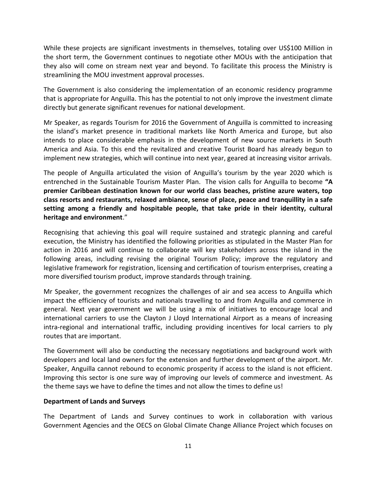While these projects are significant investments in themselves, totaling over US\$100 Million in the short term, the Government continues to negotiate other MOUs with the anticipation that they also will come on stream next year and beyond. To facilitate this process the Ministry is streamlining the MOU investment approval processes.

The Government is also considering the implementation of an economic residency programme that is appropriate for Anguilla. This has the potential to not only improve the investment climate directly but generate significant revenues for national development.

Mr Speaker, as regards Tourism for 2016 the Government of Anguilla is committed to increasing the island's market presence in traditional markets like North America and Europe, but also intends to place considerable emphasis in the development of new source markets in South America and Asia. To this end the revitalized and creative Tourist Board has already begun to implement new strategies, which will continue into next year, geared at increasing visitor arrivals.

The people of Anguilla articulated the vision of Anguilla's tourism by the year 2020 which is entrenched in the Sustainable Tourism Master Plan. The vision calls for Anguilla to become **"A premier Caribbean destination known for our world class beaches, pristine azure waters, top class resorts and restaurants, relaxed ambiance, sense of place, peace and tranquillity in a safe setting among a friendly and hospitable people, that take pride in their identity, cultural heritage and environment**."

Recognising that achieving this goal will require sustained and strategic planning and careful execution, the Ministry has identified the following priorities as stipulated in the Master Plan for action in 2016 and will continue to collaborate will key stakeholders across the island in the following areas, including revising the original Tourism Policy; improve the regulatory and legislative framework for registration, licensing and certification of tourism enterprises, creating a more diversified tourism product, improve standards through training.

Mr Speaker, the government recognizes the challenges of air and sea access to Anguilla which impact the efficiency of tourists and nationals travelling to and from Anguilla and commerce in general. Next year government we will be using a mix of initiatives to encourage local and international carriers to use the Clayton J Lloyd International Airport as a means of increasing intra-regional and international traffic, including providing incentives for local carriers to ply routes that are important.

The Government will also be conducting the necessary negotiations and background work with developers and local land owners for the extension and further development of the airport. Mr. Speaker, Anguilla cannot rebound to economic prosperity if access to the island is not efficient. Improving this sector is one sure way of improving our levels of commerce and investment. As the theme says we have to define the times and not allow the times to define us!

#### **Department of Lands and Surveys**

The Department of Lands and Survey continues to work in collaboration with various Government Agencies and the OECS on Global Climate Change Alliance Project which focuses on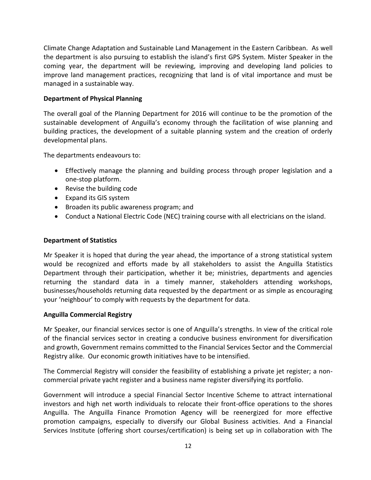Climate Change Adaptation and Sustainable Land Management in the Eastern Caribbean. As well the department is also pursuing to establish the island's first GPS System. Mister Speaker in the coming year, the department will be reviewing, improving and developing land policies to improve land management practices, recognizing that land is of vital importance and must be managed in a sustainable way.

## **Department of Physical Planning**

The overall goal of the Planning Department for 2016 will continue to be the promotion of the sustainable development of Anguilla's economy through the facilitation of wise planning and building practices, the development of a suitable planning system and the creation of orderly developmental plans.

The departments endeavours to:

- Effectively manage the planning and building process through proper legislation and a one-stop platform.
- Revise the building code
- Expand its GIS system
- Broaden its public awareness program; and
- Conduct a National Electric Code (NEC) training course with all electricians on the island.

#### **Department of Statistics**

Mr Speaker it is hoped that during the year ahead, the importance of a strong statistical system would be recognized and efforts made by all stakeholders to assist the Anguilla Statistics Department through their participation, whether it be; ministries, departments and agencies returning the standard data in a timely manner, stakeholders attending workshops, businesses/households returning data requested by the department or as simple as encouraging your 'neighbour' to comply with requests by the department for data.

#### **Anguilla Commercial Registry**

Mr Speaker, our financial services sector is one of Anguilla's strengths. In view of the critical role of the financial services sector in creating a conducive business environment for diversification and growth, Government remains committed to the Financial Services Sector and the Commercial Registry alike. Our economic growth initiatives have to be intensified.

The Commercial Registry will consider the feasibility of establishing a private jet register; a noncommercial private yacht register and a business name register diversifying its portfolio.

Government will introduce a special Financial Sector Incentive Scheme to attract international investors and high net worth individuals to relocate their front-office operations to the shores Anguilla. The Anguilla Finance Promotion Agency will be reenergized for more effective promotion campaigns, especially to diversify our Global Business activities. And a Financial Services Institute (offering short courses/certification) is being set up in collaboration with The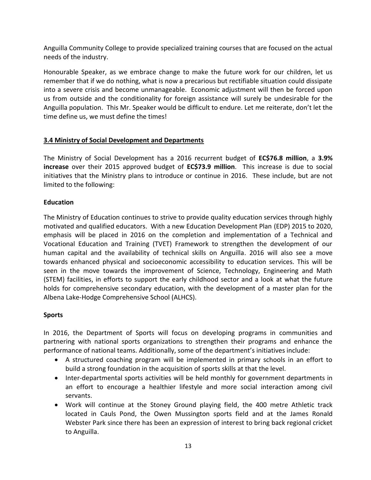Anguilla Community College to provide specialized training courses that are focused on the actual needs of the industry.

Honourable Speaker, as we embrace change to make the future work for our children, let us remember that if we do nothing, what is now a precarious but rectifiable situation could dissipate into a severe crisis and become unmanageable. Economic adjustment will then be forced upon us from outside and the conditionality for foreign assistance will surely be undesirable for the Anguilla population. This Mr. Speaker would be difficult to endure. Let me reiterate, don't let the time define us, we must define the times!

## **3.4 Ministry of Social Development and Departments**

The Ministry of Social Development has a 2016 recurrent budget of **EC\$76.8 million**, a **3.9% increase** over their 2015 approved budget of **EC\$73.9 million**. This increase is due to social initiatives that the Ministry plans to introduce or continue in 2016. These include, but are not limited to the following:

## **Education**

The Ministry of Education continues to strive to provide quality education services through highly motivated and qualified educators. With a new Education Development Plan (EDP) 2015 to 2020, emphasis will be placed in 2016 on the completion and implementation of a Technical and Vocational Education and Training (TVET) Framework to strengthen the development of our human capital and the availability of technical skills on Anguilla. 2016 will also see a move towards enhanced physical and socioeconomic accessibility to education services. This will be seen in the move towards the improvement of Science, Technology, Engineering and Math (STEM) facilities, in efforts to support the early childhood sector and a look at what the future holds for comprehensive secondary education, with the development of a master plan for the Albena Lake-Hodge Comprehensive School (ALHCS).

## **Sports**

In 2016, the Department of Sports will focus on developing programs in communities and partnering with national sports organizations to strengthen their programs and enhance the performance of national teams. Additionally, some of the department's initiatives include:

- A structured coaching program will be implemented in primary schools in an effort to build a strong foundation in the acquisition of sports skills at that the level.
- Inter-departmental sports activities will be held monthly for government departments in an effort to encourage a healthier lifestyle and more social interaction among civil servants.
- Work will continue at the Stoney Ground playing field, the 400 metre Athletic track located in Cauls Pond, the Owen Mussington sports field and at the James Ronald Webster Park since there has been an expression of interest to bring back regional cricket to Anguilla.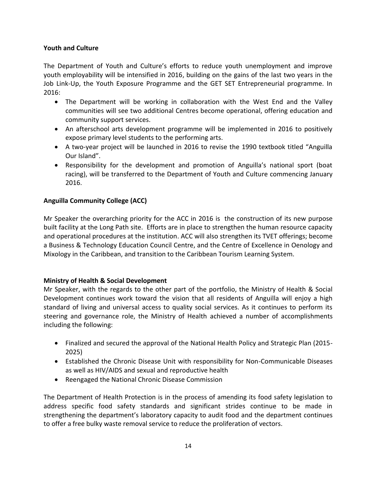## **Youth and Culture**

The Department of Youth and Culture's efforts to reduce youth unemployment and improve youth employability will be intensified in 2016, building on the gains of the last two years in the Job Link-Up, the Youth Exposure Programme and the GET SET Entrepreneurial programme. In 2016:

- The Department will be working in collaboration with the West End and the Valley communities will see two additional Centres become operational, offering education and community support services.
- An afterschool arts development programme will be implemented in 2016 to positively expose primary level students to the performing arts.
- A two-year project will be launched in 2016 to revise the 1990 textbook titled "Anguilla Our Island".
- Responsibility for the development and promotion of Anguilla's national sport (boat racing), will be transferred to the Department of Youth and Culture commencing January 2016.

## **Anguilla Community College (ACC)**

Mr Speaker the overarching priority for the ACC in 2016 is the construction of its new purpose built facility at the Long Path site. Efforts are in place to strengthen the human resource capacity and operational procedures at the institution. ACC will also strengthen its TVET offerings; become a Business & Technology Education Council Centre, and the Centre of Excellence in Oenology and Mixology in the Caribbean, and transition to the Caribbean Tourism Learning System.

## **Ministry of Health & Social Development**

Mr Speaker, with the regards to the other part of the portfolio, the Ministry of Health & Social Development continues work toward the vision that all residents of Anguilla will enjoy a high standard of living and universal access to quality social services. As it continues to perform its steering and governance role, the Ministry of Health achieved a number of accomplishments including the following:

- Finalized and secured the approval of the National Health Policy and Strategic Plan (2015- 2025)
- Established the Chronic Disease Unit with responsibility for Non-Communicable Diseases as well as HIV/AIDS and sexual and reproductive health
- Reengaged the National Chronic Disease Commission

The Department of Health Protection is in the process of amending its food safety legislation to address specific food safety standards and significant strides continue to be made in strengthening the department's laboratory capacity to audit food and the department continues to offer a free bulky waste removal service to reduce the proliferation of vectors.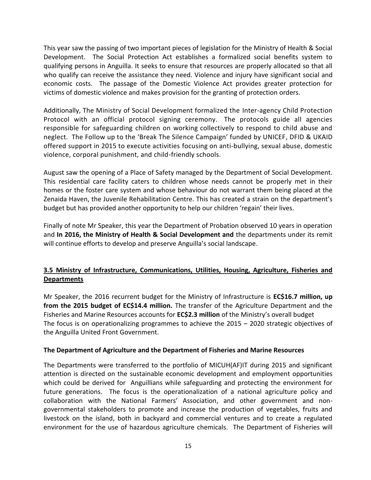This year saw the passing of two important pieces of legislation for the Ministry of Health & Social Development. The Social Protection Act establishes a formalized social benefits system to qualifying persons in Anguilla. It seeks to ensure that resources are properly allocated so that all who qualify can receive the assistance they need. Violence and injury have significant social and economic costs. The passage of the Domestic Violence Act provides greater protection for victims of domestic violence and makes provision for the granting of protection orders.

Additionally, The Ministry of Social Development formalized the Inter-agency Child Protection Protocol with an official protocol signing ceremony. The protocols guide all agencies responsible for safeguarding children on working collectively to respond to child abuse and neglect. The Follow up to the 'Break The Silence Campaign' funded by UNICEF, DFID & UKAID offered support in 2015 to execute activities focusing on anti-bullying, sexual abuse, domestic violence, corporal punishment, and child-friendly schools.

August saw the opening of a Place of Safety managed by the Department of Social Development. This residential care facility caters to children whose needs cannot be properly met in their homes or the foster care system and whose behaviour do not warrant them being placed at the Zenaida Haven, the Juvenile Rehabilitation Centre. This has created a strain on the department's budget but has provided another opportunity to help our children 'regain' their lives.

Finally of note Mr Speaker, this year the Department of Probation observed 10 years in operation and **In 2016, the Ministry of Health & Social Development and** the departments under its remit will continue efforts to develop and preserve Anguilla's social landscape.

## **3.5 Ministry of Infrastructure, Communications, Utilities, Housing, Agriculture, Fisheries and Departments**

Mr Speaker, the 2016 recurrent budget for the Ministry of Infrastructure is **EC\$16.7 million, up from the 2015 budget of EC\$14.4 million.** The transfer of the Agriculture Department and the Fisheries and Marine Resources accounts for **EC\$2.3 million** of the Ministry's overall budget The focus is on operationalizing programmes to achieve the 2015 – 2020 strategic objectives of the Anguilla United Front Government.

#### **The Department of Agriculture and the Department of Fisheries and Marine Resources**

The Departments were transferred to the portfolio of MICUH(AF)IT during 2015 and significant attention is directed on the sustainable economic development and employment opportunities which could be derived for Anguillians while safeguarding and protecting the environment for future generations. The focus is the operationalization of a national agriculture policy and collaboration with the National Farmers' Association, and other government and nongovernmental stakeholders to promote and increase the production of vegetables, fruits and livestock on the island, both in backyard and commercial ventures and to create a regulated environment for the use of hazardous agriculture chemicals. The Department of Fisheries will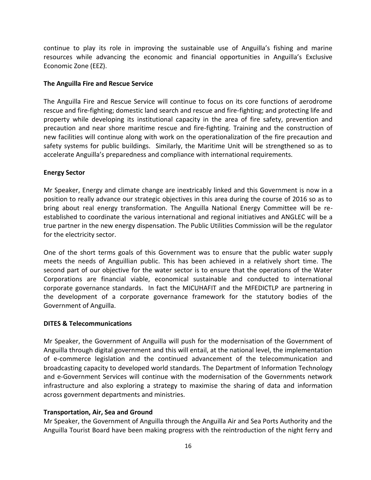continue to play its role in improving the sustainable use of Anguilla's fishing and marine resources while advancing the economic and financial opportunities in Anguilla's Exclusive Economic Zone (EEZ).

#### **The Anguilla Fire and Rescue Service**

The Anguilla Fire and Rescue Service will continue to focus on its core functions of aerodrome rescue and fire-fighting; domestic land search and rescue and fire-fighting; and protecting life and property while developing its institutional capacity in the area of fire safety, prevention and precaution and near shore maritime rescue and fire-fighting. Training and the construction of new facilities will continue along with work on the operationalization of the fire precaution and safety systems for public buildings. Similarly, the Maritime Unit will be strengthened so as to accelerate Anguilla's preparedness and compliance with international requirements.

#### **Energy Sector**

Mr Speaker, Energy and climate change are inextricably linked and this Government is now in a position to really advance our strategic objectives in this area during the course of 2016 so as to bring about real energy transformation. The Anguilla National Energy Committee will be reestablished to coordinate the various international and regional initiatives and ANGLEC will be a true partner in the new energy dispensation. The Public Utilities Commission will be the regulator for the electricity sector.

One of the short terms goals of this Government was to ensure that the public water supply meets the needs of Anguillian public. This has been achieved in a relatively short time. The second part of our objective for the water sector is to ensure that the operations of the Water Corporations are financial viable, economical sustainable and conducted to international corporate governance standards. In fact the MICUHAFIT and the MFEDICTLP are partnering in the development of a corporate governance framework for the statutory bodies of the Government of Anguilla.

#### **DITES & Telecommunications**

Mr Speaker, the Government of Anguilla will push for the modernisation of the Government of Anguilla through digital government and this will entail, at the national level, the implementation of e-commerce legislation and the continued advancement of the telecommunication and broadcasting capacity to developed world standards. The Department of Information Technology and e-Government Services will continue with the modernisation of the Governments network infrastructure and also exploring a strategy to maximise the sharing of data and information across government departments and ministries.

#### **Transportation, Air, Sea and Ground**

Mr Speaker, the Government of Anguilla through the Anguilla Air and Sea Ports Authority and the Anguilla Tourist Board have been making progress with the reintroduction of the night ferry and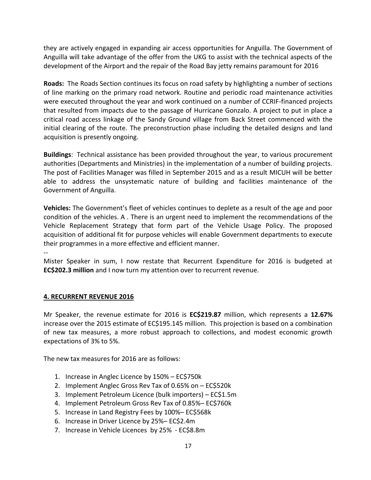they are actively engaged in expanding air access opportunities for Anguilla. The Government of Anguilla will take advantage of the offer from the UKG to assist with the technical aspects of the development of the Airport and the repair of the Road Bay jetty remains paramount for 2016

**Roads:** The Roads Section continues its focus on road safety by highlighting a number of sections of line marking on the primary road network. Routine and periodic road maintenance activities were executed throughout the year and work continued on a number of CCRIF-financed projects that resulted from impacts due to the passage of Hurricane Gonzalo. A project to put in place a critical road access linkage of the Sandy Ground village from Back Street commenced with the initial clearing of the route. The preconstruction phase including the detailed designs and land acquisition is presently ongoing.

**Buildings**: Technical assistance has been provided throughout the year, to various procurement authorities (Departments and Ministries) in the implementation of a number of building projects. The post of Facilities Manager was filled in September 2015 and as a result MICUH will be better able to address the unsystematic nature of building and facilities maintenance of the Government of Anguilla.

**Vehicles:** The Government's fleet of vehicles continues to deplete as a result of the age and poor condition of the vehicles. A . There is an urgent need to implement the recommendations of the Vehicle Replacement Strategy that form part of the Vehicle Usage Policy. The proposed acquisition of additional fit for purpose vehicles will enable Government departments to execute their programmes in a more effective and efficient manner.

--

Mister Speaker in sum, I now restate that Recurrent Expenditure for 2016 is budgeted at **EC\$202.3 million** and I now turn my attention over to recurrent revenue.

## **4. RECURRENT REVENUE 2016**

Mr Speaker, the revenue estimate for 2016 is **EC\$219.87** million, which represents a **12.67%** increase over the 2015 estimate of EC\$195.145 million. This projection is based on a combination of new tax measures, a more robust approach to collections, and modest economic growth expectations of 3% to 5%.

The new tax measures for 2016 are as follows:

- 1. Increase in Anglec Licence by 150% EC\$750k
- 2. Implement Anglec Gross Rev Tax of 0.65% on EC\$520k
- 3. Implement Petroleum Licence (bulk importers) EC\$1.5m
- 4. Implement Petroleum Gross Rev Tax of 0.85%– EC\$760k
- 5. Increase in Land Registry Fees by 100%– EC\$568k
- 6. Increase in Driver Licence by 25%– EC\$2.4m
- 7. Increase in Vehicle Licences by 25% EC\$8.8m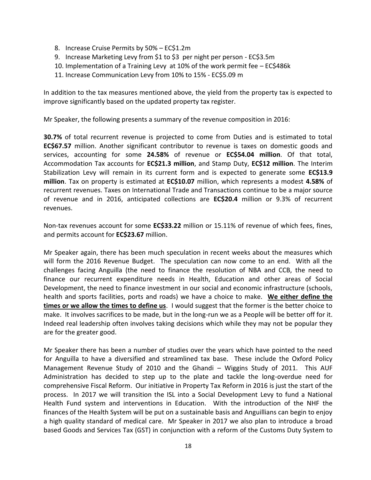- 8. Increase Cruise Permits by 50% EC\$1.2m
- 9. Increase Marketing Levy from \$1 to \$3 per night per person EC\$3.5m
- 10. Implementation of a Training Levy at 10% of the work permit fee EC\$486k
- 11. Increase Communication Levy from 10% to 15% EC\$5.09 m

In addition to the tax measures mentioned above, the yield from the property tax is expected to improve significantly based on the updated property tax register.

Mr Speaker, the following presents a summary of the revenue composition in 2016:

**30.7%** of total recurrent revenue is projected to come from Duties and is estimated to total **EC\$67.57** million. Another significant contributor to revenue is taxes on domestic goods and services, accounting for some **24.58%** of revenue or **EC\$54.04 million**. Of that total, Accommodation Tax accounts for **EC\$21.3 million**, and Stamp Duty, **EC\$12 million**. The Interim Stabilization Levy will remain in its current form and is expected to generate some **EC\$13.9 million**. Tax on property is estimated at **EC\$10.07** million, which represents a modest **4.58%** of recurrent revenues. Taxes on International Trade and Transactions continue to be a major source of revenue and in 2016, anticipated collections are **EC\$20.4** million or 9.3% of recurrent revenues.

Non-tax revenues account for some **EC\$33.22** million or 15.11% of revenue of which fees, fines, and permits account for **EC\$23.67** million.

Mr Speaker again, there has been much speculation in recent weeks about the measures which will form the 2016 Revenue Budget. The speculation can now come to an end. With all the challenges facing Anguilla (the need to finance the resolution of NBA and CCB, the need to finance our recurrent expenditure needs in Health, Education and other areas of Social Development, the need to finance investment in our social and economic infrastructure (schools, health and sports facilities, ports and roads) we have a choice to make. **We either define the times or we allow the times to define us**. I would suggest that the former is the better choice to make. It involves sacrifices to be made, but in the long-run we as a People will be better off for it. Indeed real leadership often involves taking decisions which while they may not be popular they are for the greater good.

Mr Speaker there has been a number of studies over the years which have pointed to the need for Anguilla to have a diversified and streamlined tax base. These include the Oxford Policy Management Revenue Study of 2010 and the Ghandi – Wiggins Study of 2011. This AUF Administration has decided to step up to the plate and tackle the long-overdue need for comprehensive Fiscal Reform. Our initiative in Property Tax Reform in 2016 is just the start of the process. In 2017 we will transition the ISL into a Social Development Levy to fund a National Health Fund system and interventions in Education. With the introduction of the NHF the finances of the Health System will be put on a sustainable basis and Anguillians can begin to enjoy a high quality standard of medical care. Mr Speaker in 2017 we also plan to introduce a broad based Goods and Services Tax (GST) in conjunction with a reform of the Customs Duty System to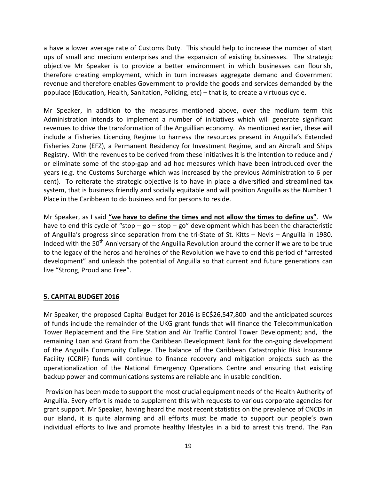a have a lower average rate of Customs Duty. This should help to increase the number of start ups of small and medium enterprises and the expansion of existing businesses. The strategic objective Mr Speaker is to provide a better environment in which businesses can flourish, therefore creating employment, which in turn increases aggregate demand and Government revenue and therefore enables Government to provide the goods and services demanded by the populace (Education, Health, Sanitation, Policing, etc) – that is, to create a virtuous cycle.

Mr Speaker, in addition to the measures mentioned above, over the medium term this Administration intends to implement a number of initiatives which will generate significant revenues to drive the transformation of the Anguillian economy. As mentioned earlier, these will include a Fisheries Licencing Regime to harness the resources present in Anguilla's Extended Fisheries Zone (EFZ), a Permanent Residency for Investment Regime, and an Aircraft and Ships Registry. With the revenues to be derived from these initiatives it is the intention to reduce and / or eliminate some of the stop-gap and ad hoc measures which have been introduced over the years (e.g. the Customs Surcharge which was increased by the previous Administration to 6 per cent). To reiterate the strategic objective is to have in place a diversified and streamlined tax system, that is business friendly and socially equitable and will position Anguilla as the Number 1 Place in the Caribbean to do business and for persons to reside.

Mr Speaker, as I said **"we have to define the times and not allow the times to define us"**. We have to end this cycle of "stop –  $go - stop - go$ " development which has been the characteristic of Anguilla's progress since separation from the tri-State of St. Kitts – Nevis – Anguilla in 1980. Indeed with the 50<sup>th</sup> Anniversary of the Anguilla Revolution around the corner if we are to be true to the legacy of the heros and heroines of the Revolution we have to end this period of "arrested development" and unleash the potential of Anguilla so that current and future generations can live "Strong, Proud and Free".

## **5. CAPITAL BUDGET 2016**

Mr Speaker, the proposed Capital Budget for 2016 is EC\$26,547,800 and the anticipated sources of funds include the remainder of the UKG grant funds that will finance the Telecommunication Tower Replacement and the Fire Station and Air Traffic Control Tower Development; and, the remaining Loan and Grant from the Caribbean Development Bank for the on-going development of the Anguilla Community College. The balance of the Caribbean Catastrophic Risk Insurance Facility (CCRIF) funds will continue to finance recovery and mitigation projects such as the operationalization of the National Emergency Operations Centre and ensuring that existing backup power and communications systems are reliable and in usable condition.

Provision has been made to support the most crucial equipment needs of the Health Authority of Anguilla. Every effort is made to supplement this with requests to various corporate agencies for grant support. Mr Speaker, having heard the most recent statistics on the prevalence of CNCDs in our island, it is quite alarming and all efforts must be made to support our people's own individual efforts to live and promote healthy lifestyles in a bid to arrest this trend. The Pan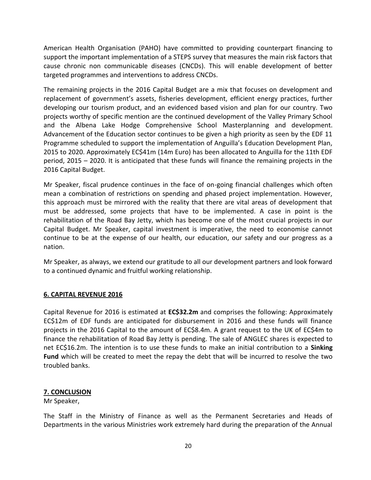American Health Organisation (PAHO) have committed to providing counterpart financing to support the important implementation of a STEPS survey that measures the main risk factors that cause chronic non communicable diseases (CNCDs). This will enable development of better targeted programmes and interventions to address CNCDs.

The remaining projects in the 2016 Capital Budget are a mix that focuses on development and replacement of government's assets, fisheries development, efficient energy practices, further developing our tourism product, and an evidenced based vision and plan for our country. Two projects worthy of specific mention are the continued development of the Valley Primary School and the Albena Lake Hodge Comprehensive School Masterplanning and development. Advancement of the Education sector continues to be given a high priority as seen by the EDF 11 Programme scheduled to support the implementation of Anguilla's Education Development Plan, 2015 to 2020. Approximately EC\$41m (14m Euro) has been allocated to Anguilla for the 11th EDF period, 2015 – 2020. It is anticipated that these funds will finance the remaining projects in the 2016 Capital Budget.

Mr Speaker, fiscal prudence continues in the face of on-going financial challenges which often mean a combination of restrictions on spending and phased project implementation. However, this approach must be mirrored with the reality that there are vital areas of development that must be addressed, some projects that have to be implemented. A case in point is the rehabilitation of the Road Bay Jetty, which has become one of the most crucial projects in our Capital Budget. Mr Speaker, capital investment is imperative, the need to economise cannot continue to be at the expense of our health, our education, our safety and our progress as a nation.

Mr Speaker, as always, we extend our gratitude to all our development partners and look forward to a continued dynamic and fruitful working relationship.

## **6. CAPITAL REVENUE 2016**

Capital Revenue for 2016 is estimated at **EC\$32.2m** and comprises the following: Approximately EC\$12m of EDF funds are anticipated for disbursement in 2016 and these funds will finance projects in the 2016 Capital to the amount of EC\$8.4m. A grant request to the UK of EC\$4m to finance the rehabilitation of Road Bay Jetty is pending. The sale of ANGLEC shares is expected to net EC\$16.2m. The intention is to use these funds to make an initial contribution to a **Sinking Fund** which will be created to meet the repay the debt that will be incurred to resolve the two troubled banks.

#### **7. CONCLUSION**

Mr Speaker,

The Staff in the Ministry of Finance as well as the Permanent Secretaries and Heads of Departments in the various Ministries work extremely hard during the preparation of the Annual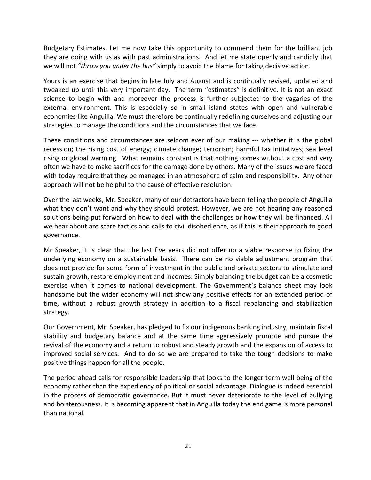Budgetary Estimates. Let me now take this opportunity to commend them for the brilliant job they are doing with us as with past administrations. And let me state openly and candidly that we will not *"throw you under the bus"* simply to avoid the blame for taking decisive action.

Yours is an exercise that begins in late July and August and is continually revised, updated and tweaked up until this very important day. The term "estimates" is definitive. It is not an exact science to begin with and moreover the process is further subjected to the vagaries of the external environment. This is especially so in small island states with open and vulnerable economies like Anguilla. We must therefore be continually redefining ourselves and adjusting our strategies to manage the conditions and the circumstances that we face.

These conditions and circumstances are seldom ever of our making --- whether it is the global recession; the rising cost of energy; climate change; terrorism; harmful tax initiatives; sea level rising or global warming. What remains constant is that nothing comes without a cost and very often we have to make sacrifices for the damage done by others. Many of the issues we are faced with today require that they be managed in an atmosphere of calm and responsibility. Any other approach will not be helpful to the cause of effective resolution.

Over the last weeks, Mr. Speaker, many of our detractors have been telling the people of Anguilla what they don't want and why they should protest. However, we are not hearing any reasoned solutions being put forward on how to deal with the challenges or how they will be financed. All we hear about are scare tactics and calls to civil disobedience, as if this is their approach to good governance.

Mr Speaker, it is clear that the last five years did not offer up a viable response to fixing the underlying economy on a sustainable basis. There can be no viable adjustment program that does not provide for some form of investment in the public and private sectors to stimulate and sustain growth, restore employment and incomes. Simply balancing the budget can be a cosmetic exercise when it comes to national development. The Government's balance sheet may look handsome but the wider economy will not show any positive effects for an extended period of time, without a robust growth strategy in addition to a fiscal rebalancing and stabilization strategy.

Our Government, Mr. Speaker, has pledged to fix our indigenous banking industry, maintain fiscal stability and budgetary balance and at the same time aggressively promote and pursue the revival of the economy and a return to robust and steady growth and the expansion of access to improved social services. And to do so we are prepared to take the tough decisions to make positive things happen for all the people.

The period ahead calls for responsible leadership that looks to the longer term well-being of the economy rather than the expediency of political or social advantage. Dialogue is indeed essential in the process of democratic governance. But it must never deteriorate to the level of bullying and boisterousness. It is becoming apparent that in Anguilla today the end game is more personal than national.